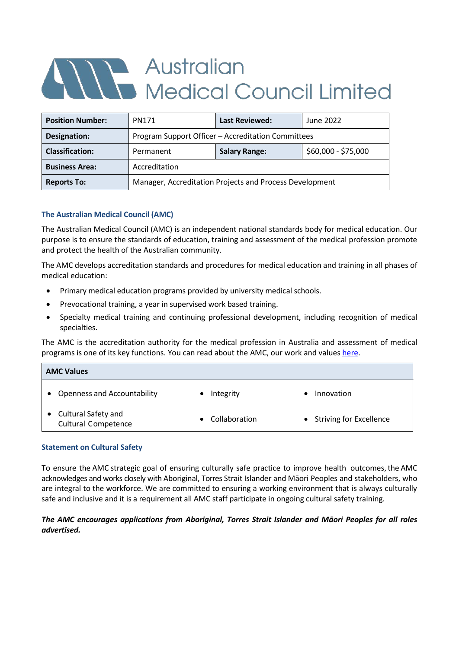# Australian<br>Medical Council Limited

| <b>Position Number:</b> | <b>PN171</b>                                            |                      | June 2022           |  |  |  |  |
|-------------------------|---------------------------------------------------------|----------------------|---------------------|--|--|--|--|
| Designation:            | Program Support Officer - Accreditation Committees      |                      |                     |  |  |  |  |
| <b>Classification:</b>  | Permanent                                               | <b>Salary Range:</b> | \$60,000 - \$75,000 |  |  |  |  |
| <b>Business Area:</b>   | Accreditation                                           |                      |                     |  |  |  |  |
| <b>Reports To:</b>      | Manager, Accreditation Projects and Process Development |                      |                     |  |  |  |  |

# **The Australian Medical Council (AMC)**

The Australian Medical Council (AMC) is an independent national standards body for medical education. Our purpose is to ensure the standards of education, training and assessment of the medical profession promote and protect the health of the Australian community.

The AMC develops accreditation standards and procedures for medical education and training in all phases of medical education:

- Primary medical education programs provided by university medical schools.
- Prevocational training, a year in supervised work based training.
- Specialty medical training and continuing professional development, including recognition of medical specialties.

The AMC is the accreditation authority for the medical profession in Australia and assessment of medical programs is one of its key functions. You can read about the AMC, our work and values [here.](https://www.amc.org.au/)

| <b>AMC Values</b> |                                                   |  |               |  |                           |
|-------------------|---------------------------------------------------|--|---------------|--|---------------------------|
|                   | <b>Openness and Accountability</b>                |  | Integrity     |  | Innovation                |
|                   | Cultural Safety and<br><b>Cultural Competence</b> |  | Collaboration |  | • Striving for Excellence |

## **Statement on Cultural Safety**

To ensure the AMC strategic goal of ensuring culturally safe practice to improve health outcomes, the AMC acknowledges and works closely with Aboriginal, Torres Strait Islander and Māori Peoples and stakeholders, who are integral to the workforce. We are committed to ensuring a working environment that is always culturally safe and inclusive and it is a requirement all AMC staff participate in ongoing cultural safety training.

## *The AMC encourages applications from Aboriginal, Torres Strait Islander and Māori Peoples for all roles advertised.*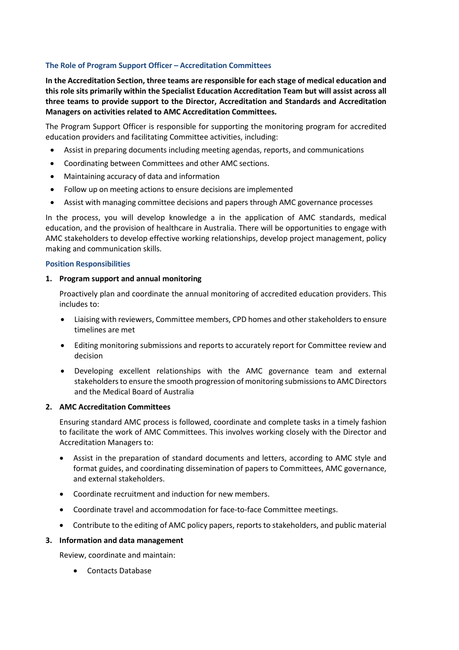## **The Role of Program Support Officer – Accreditation Committees**

**In the Accreditation Section, three teams are responsible for each stage of medical education and this role sits primarily within the Specialist Education Accreditation Team but will assist across all three teams to provide support to the Director, Accreditation and Standards and Accreditation Managers on activities related to AMC Accreditation Committees.**

The Program Support Officer is responsible for supporting the monitoring program for accredited education providers and facilitating Committee activities, including:

- Assist in preparing documents including meeting agendas, reports, and communications
- Coordinating between Committees and other AMC sections.
- Maintaining accuracy of data and information
- Follow up on meeting actions to ensure decisions are implemented
- Assist with managing committee decisions and papers through AMC governance processes

In the process, you will develop knowledge a in the application of AMC standards, medical education, and the provision of healthcare in Australia. There will be opportunities to engage with AMC stakeholders to develop effective working relationships, develop project management, policy making and communication skills.

#### **Position Responsibilities**

#### **1. Program support and annual monitoring**

Proactively plan and coordinate the annual monitoring of accredited education providers. This includes to:

- Liaising with reviewers, Committee members, CPD homes and other stakeholders to ensure timelines are met
- Editing monitoring submissions and reports to accurately report for Committee review and decision
- Developing excellent relationships with the AMC governance team and external stakeholders to ensure the smooth progression of monitoring submissionsto AMC Directors and the Medical Board of Australia

## **2. AMC Accreditation Committees**

Ensuring standard AMC process is followed, coordinate and complete tasks in a timely fashion to facilitate the work of AMC Committees. This involves working closely with the Director and Accreditation Managers to:

- Assist in the preparation of standard documents and letters, according to AMC style and format guides, and coordinating dissemination of papers to Committees, AMC governance, and external stakeholders.
- Coordinate recruitment and induction for new members.
- Coordinate travel and accommodation for face-to-face Committee meetings.
- Contribute to the editing of AMC policy papers, reports to stakeholders, and public material

## **3. Information and data management**

Review, coordinate and maintain:

• Contacts Database